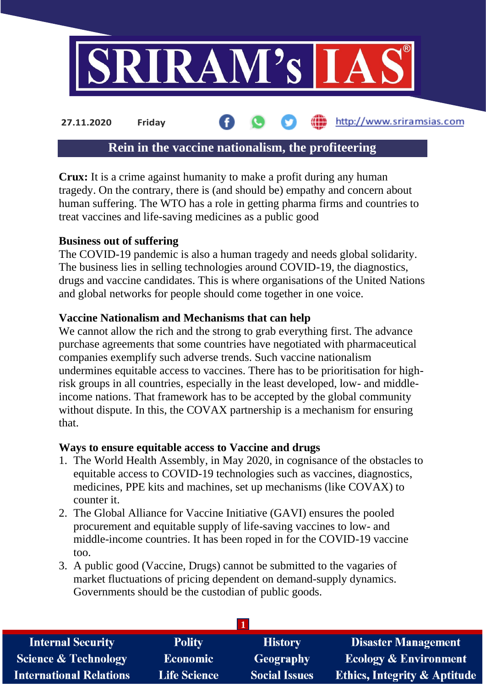

# **Rein in the vaccine nationalism, the profiteering**

**Crux:** It is a crime against humanity to make a profit during any human tragedy. On the contrary, there is (and should be) empathy and concern about human suffering. The WTO has a role in getting pharma firms and countries to treat vaccines and life-saving medicines as a public good

#### **Business out of suffering**

The COVID-19 pandemic is also a human tragedy and needs global solidarity. The business lies in selling technologies around COVID-19, the diagnostics, drugs and vaccine candidates. This is where organisations of the United Nations and global networks for people should come together in one voice.

#### **Vaccine Nationalism and Mechanisms that can help**

We cannot allow the rich and the strong to grab everything first. The advance purchase agreements that some countries have negotiated with pharmaceutical companies exemplify such adverse trends. Such vaccine nationalism undermines equitable access to vaccines. There has to be prioritisation for highrisk groups in all countries, especially in the least developed, low- and middleincome nations. That framework has to be accepted by the global community without dispute. In this, the COVAX partnership is a mechanism for ensuring that.

#### **Ways to ensure equitable access to Vaccine and drugs**

- 1. The World Health Assembly, in May 2020, in cognisance of the obstacles to equitable access to COVID-19 technologies such as vaccines, diagnostics, medicines, PPE kits and machines, set up mechanisms (like COVAX) to counter it.
- 2. The Global Alliance for Vaccine Initiative (GAVI) ensures the pooled procurement and equitable supply of life-saving vaccines to low- and middle-income countries. It has been roped in for the COVID-19 vaccine too.
- 3. A public good (Vaccine, Drugs) cannot be submitted to the vagaries of market fluctuations of pricing dependent on demand-supply dynamics. Governments should be the custodian of public goods.

| <b>Internal Security</b>        | <b>Polity</b>       | <b>History</b>       | <b>Disaster Management</b>              |
|---------------------------------|---------------------|----------------------|-----------------------------------------|
| <b>Science &amp; Technology</b> | <b>Economic</b>     | Geography            | <b>Ecology &amp; Environment</b>        |
| <b>International Relations</b>  | <b>Life Science</b> | <b>Social Issues</b> | <b>Ethics, Integrity &amp; Aptitude</b> |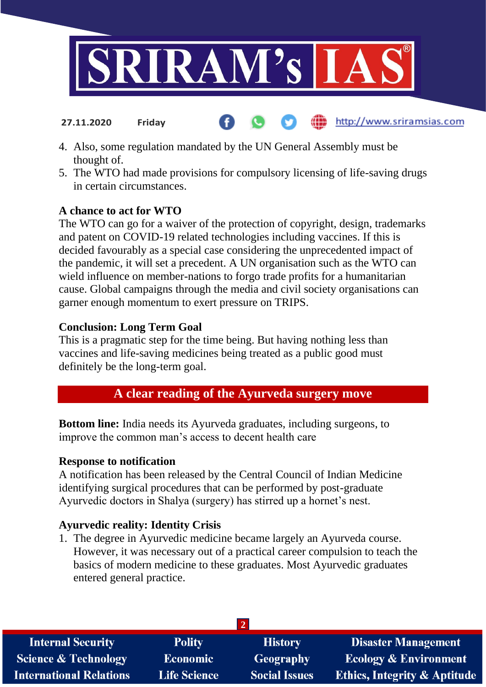

http://www.sriramsias.com

- 4. Also, some regulation mandated by the UN General Assembly must be thought of.
- 5. The WTO had made provisions for compulsory licensing of life-saving drugs in certain circumstances.

# **A chance to act for WTO**

**27.11.2020 Friday**

The WTO can go for a waiver of the protection of copyright, design, trademarks and patent on COVID-19 related technologies including vaccines. If this is decided favourably as a special case considering the unprecedented impact of the pandemic, it will set a precedent. A UN organisation such as the WTO can wield influence on member-nations to forgo trade profits for a humanitarian cause. Global campaigns through the media and civil society organisations can garner enough momentum to exert pressure on TRIPS.

### **Conclusion: Long Term Goal**

This is a pragmatic step for the time being. But having nothing less than vaccines and life-saving medicines being treated as a public good must definitely be the long-term goal.

# **A clear reading of the Ayurveda surgery move**

**Bottom line:** India needs its Ayurveda graduates, including surgeons, to improve the common man's access to decent health care

#### **Response to notification**

A notification has been released by the Central Council of Indian Medicine identifying surgical procedures that can be performed by post-graduate Ayurvedic doctors in Shalya (surgery) has stirred up a hornet's nest.

# **Ayurvedic reality: Identity Crisis**

1. The degree in Ayurvedic medicine became largely an Ayurveda course. However, it was necessary out of a practical career compulsion to teach the basics of modern medicine to these graduates. Most Ayurvedic graduates entered general practice.

| <b>Polity</b>       | <b>History</b>       | <b>Disaster Management</b>              |  |  |
|---------------------|----------------------|-----------------------------------------|--|--|
| <b>Economic</b>     | <b>Geography</b>     | <b>Ecology &amp; Environment</b>        |  |  |
| <b>Life Science</b> | <b>Social Issues</b> | <b>Ethics, Integrity &amp; Aptitude</b> |  |  |
|                     |                      |                                         |  |  |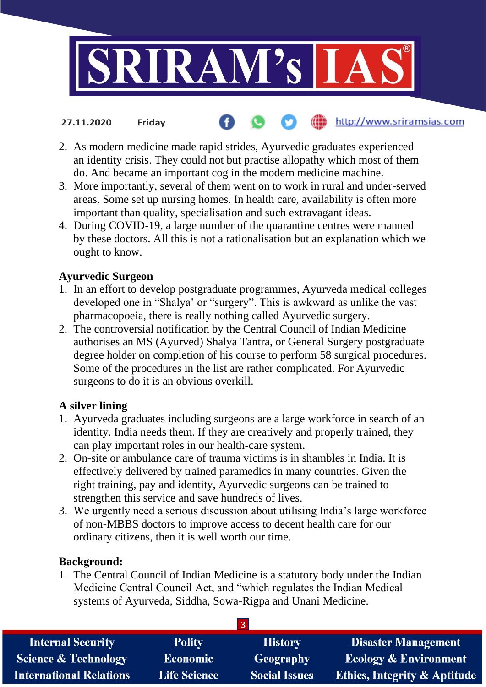

#### http://www.sriramsias.com **27.11.2020 Friday**

- 2. As modern medicine made rapid strides, Ayurvedic graduates experienced an identity crisis. They could not but practise allopathy which most of them do. And became an important cog in the modern medicine machine.
- 3. More importantly, several of them went on to work in rural and under-served areas. Some set up nursing homes. In health care, availability is often more important than quality, specialisation and such extravagant ideas.
- 4. During COVID-19, a large number of the quarantine centres were manned by these doctors. All this is not a rationalisation but an explanation which we ought to know.

#### **Ayurvedic Surgeon**

- 1. In an effort to develop postgraduate programmes, Ayurveda medical colleges developed one in "Shalya' or "surgery". This is awkward as unlike the vast pharmacopoeia, there is really nothing called Ayurvedic surgery.
- 2. The controversial notification by the Central Council of Indian Medicine authorises an MS (Ayurved) Shalya Tantra, or General Surgery postgraduate degree holder on completion of his course to perform 58 surgical procedures. Some of the procedures in the list are rather complicated. For Ayurvedic surgeons to do it is an obvious overkill.

# **A silver lining**

- 1. Ayurveda graduates including surgeons are a large workforce in search of an identity. India needs them. If they are creatively and properly trained, they can play important roles in our health-care system.
- 2. On-site or ambulance care of trauma victims is in shambles in India. It is effectively delivered by trained paramedics in many countries. Given the right training, pay and identity, Ayurvedic surgeons can be trained to strengthen this service and save hundreds of lives.
- 3. We urgently need a serious discussion about utilising India's large workforce of non-MBBS doctors to improve access to decent health care for our ordinary citizens, then it is well worth our time.

# **Background:**

1. The Central Council of Indian Medicine is a statutory body under the Indian Medicine Central Council Act, and "which regulates the Indian Medical systems of Ayurveda, Siddha, Sowa-Rigpa and Unani Medicine.

| <b>Internal Security</b>        | <b>Polity</b>       | <b>History</b>       | <b>Disaster Management</b>              |
|---------------------------------|---------------------|----------------------|-----------------------------------------|
| <b>Science &amp; Technology</b> | <b>Economic</b>     | <b>Geography</b>     | <b>Ecology &amp; Environment</b>        |
| <b>International Relations</b>  | <b>Life Science</b> | <b>Social Issues</b> | <b>Ethics, Integrity &amp; Aptitude</b> |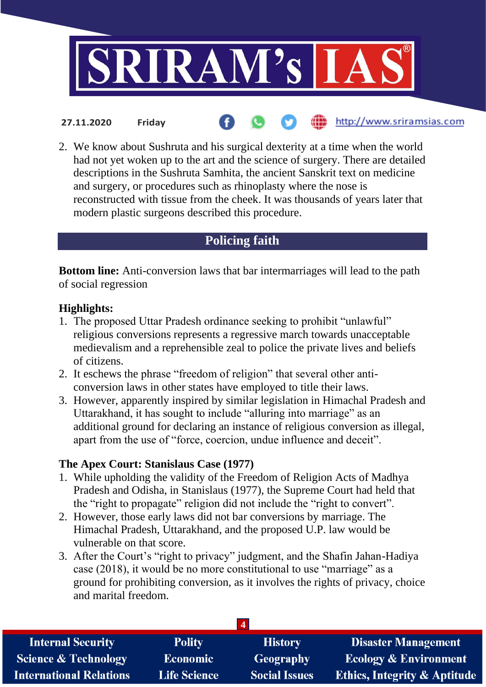

http://www.sriramsias.com

2. We know about Sushruta and his surgical dexterity at a time when the world had not yet woken up to the art and the science of surgery. There are detailed descriptions in the Sushruta Samhita, the ancient Sanskrit text on medicine and surgery, or procedures such as rhinoplasty where the nose is reconstructed with tissue from the cheek. It was thousands of years later that modern plastic surgeons described this procedure.

# **Policing faith**

**Bottom line:** Anti-conversion laws that bar intermarriages will lead to the path of social regression

### **Highlights:**

**27.11.2020 Friday**

- 1. The proposed Uttar Pradesh ordinance seeking to prohibit "unlawful" religious conversions represents a regressive march towards unacceptable medievalism and a reprehensible zeal to police the private lives and beliefs of citizens.
- 2. It eschews the phrase "freedom of religion" that several other anticonversion laws in other states have employed to title their laws.
- 3. However, apparently inspired by similar legislation in Himachal Pradesh and Uttarakhand, it has sought to include "alluring into marriage" as an additional ground for declaring an instance of religious conversion as illegal, apart from the use of "force, coercion, undue influence and deceit".

# **The Apex Court: Stanislaus Case (1977)**

- 1. While upholding the validity of the Freedom of Religion Acts of Madhya Pradesh and Odisha, in Stanislaus (1977), the Supreme Court had held that the "right to propagate" religion did not include the "right to convert".
- 2. However, those early laws did not bar conversions by marriage. The Himachal Pradesh, Uttarakhand, and the proposed U.P. law would be vulnerable on that score.
- 3. After the Court's "right to privacy" judgment, and the Shafin Jahan-Hadiya case (2018), it would be no more constitutional to use "marriage" as a ground for prohibiting conversion, as it involves the rights of privacy, choice and marital freedom.

| <b>Internal Security</b>        | <b>Polity</b>       | <b>History</b>       | <b>Disaster Management</b>              |  |
|---------------------------------|---------------------|----------------------|-----------------------------------------|--|
| <b>Science &amp; Technology</b> | <b>Economic</b>     | <b>Geography</b>     | <b>Ecology &amp; Environment</b>        |  |
| <b>International Relations</b>  | <b>Life Science</b> | <b>Social Issues</b> | <b>Ethics, Integrity &amp; Aptitude</b> |  |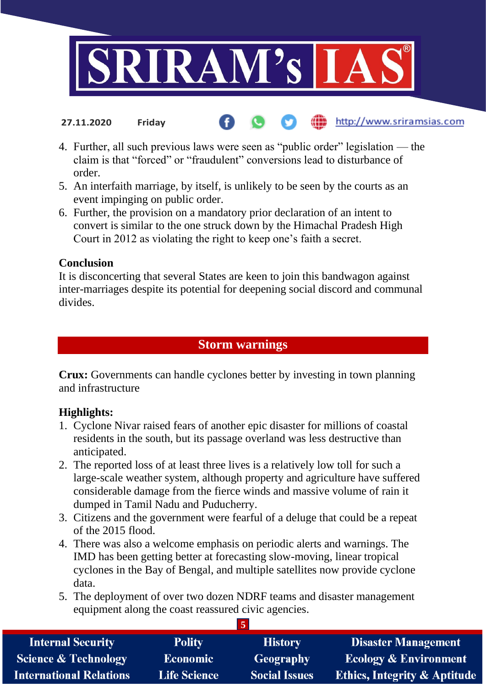

4. Further, all such previous laws were seen as "public order" legislation — the claim is that "forced" or "fraudulent" conversions lead to disturbance of order.

http://www.sriramsias.com

- 5. An interfaith marriage, by itself, is unlikely to be seen by the courts as an event impinging on public order.
- 6. Further, the provision on a mandatory prior declaration of an intent to convert is similar to the one struck down by the Himachal Pradesh High Court in 2012 as violating the right to keep one's faith a secret.

#### **Conclusion**

**27.11.2020 Friday**

It is disconcerting that several States are keen to join this bandwagon against inter-marriages despite its potential for deepening social discord and communal divides.

# **Storm warnings**

**Crux:** Governments can handle cyclones better by investing in town planning and infrastructure

# **Highlights:**

- 1. Cyclone Nivar raised fears of another epic disaster for millions of coastal residents in the south, but its passage overland was less destructive than anticipated.
- 2. The reported loss of at least three lives is a relatively low toll for such a large-scale weather system, although property and agriculture have suffered considerable damage from the fierce winds and massive volume of rain it dumped in Tamil Nadu and Puducherry.
- 3. Citizens and the government were fearful of a deluge that could be a repeat of the 2015 flood.
- 4. There was also a welcome emphasis on periodic alerts and warnings. The IMD has been getting better at forecasting slow-moving, linear tropical cyclones in the Bay of Bengal, and multiple satellites now provide cyclone data.
- 5. The deployment of over two dozen NDRF teams and disaster management equipment along the coast reassured civic agencies.

**5**

| <b>Internal Security</b>        | <b>Polity</b>       | <b>History</b>       | <b>Disaster Management</b>              |
|---------------------------------|---------------------|----------------------|-----------------------------------------|
| <b>Science &amp; Technology</b> | <b>Economic</b>     | <b>Geography</b>     | <b>Ecology &amp; Environment</b>        |
| <b>International Relations</b>  | <b>Life Science</b> | <b>Social Issues</b> | <b>Ethics, Integrity &amp; Aptitude</b> |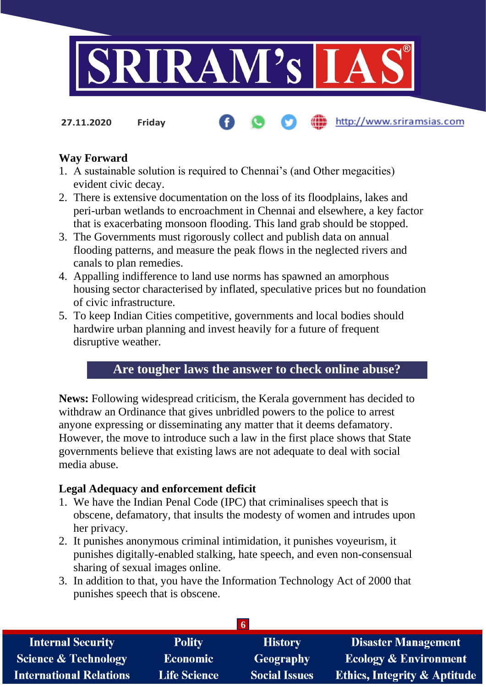

**27.11.2020 Friday**

#### http://www.sriramsias.com

### **Way Forward**

- 1. A sustainable solution is required to Chennai's (and Other megacities) evident civic decay.
- 2. There is extensive documentation on the loss of its floodplains, lakes and peri-urban wetlands to encroachment in Chennai and elsewhere, a key factor that is exacerbating monsoon flooding. This land grab should be stopped.
- 3. The Governments must rigorously collect and publish data on annual flooding patterns, and measure the peak flows in the neglected rivers and canals to plan remedies.
- 4. Appalling indifference to land use norms has spawned an amorphous housing sector characterised by inflated, speculative prices but no foundation of civic infrastructure.
- 5. To keep Indian Cities competitive, governments and local bodies should hardwire urban planning and invest heavily for a future of frequent disruptive weather.

# **Are tougher laws the answer to check online abuse?**

**News:** Following widespread criticism, the Kerala government has decided to withdraw an Ordinance that gives unbridled powers to the police to arrest anyone expressing or disseminating any matter that it deems defamatory. However, the move to introduce such a law in the first place shows that State governments believe that existing laws are not adequate to deal with social media abuse.

#### **Legal Adequacy and enforcement deficit**

- 1. We have the Indian Penal Code (IPC) that criminalises speech that is obscene, defamatory, that insults the modesty of women and intrudes upon her privacy.
- 2. It punishes anonymous criminal intimidation, it punishes voyeurism, it punishes digitally-enabled stalking, hate speech, and even non-consensual sharing of sexual images online.
- 3. In addition to that, you have the Information Technology Act of 2000 that punishes speech that is obscene.

| <b>Internal Security</b>        | <b>Polity</b>       | <b>History</b>       | <b>Disaster Management</b>              |
|---------------------------------|---------------------|----------------------|-----------------------------------------|
| <b>Science &amp; Technology</b> | <b>Economic</b>     | Geography            | <b>Ecology &amp; Environment</b>        |
| <b>International Relations</b>  | <b>Life Science</b> | <b>Social Issues</b> | <b>Ethics, Integrity &amp; Aptitude</b> |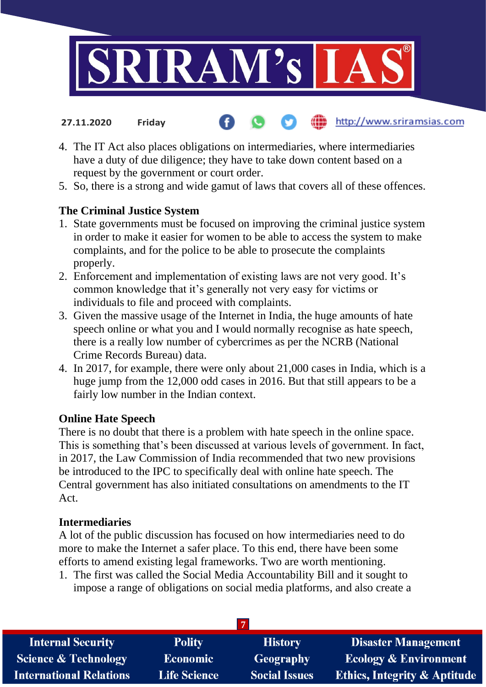

4. The IT Act also places obligations on intermediaries, where intermediaries

http://www.sriramsias.com

- have a duty of due diligence; they have to take down content based on a request by the government or court order.
- 5. So, there is a strong and wide gamut of laws that covers all of these offences.

# **The Criminal Justice System**

**27.11.2020 Friday**

- 1. State governments must be focused on improving the criminal justice system in order to make it easier for women to be able to access the system to make complaints, and for the police to be able to prosecute the complaints properly.
- 2. Enforcement and implementation of existing laws are not very good. It's common knowledge that it's generally not very easy for victims or individuals to file and proceed with complaints.
- 3. Given the massive usage of the Internet in India, the huge amounts of hate speech online or what you and I would normally recognise as hate speech, there is a really low number of cybercrimes as per the NCRB (National Crime Records Bureau) data.
- 4. In 2017, for example, there were only about 21,000 cases in India, which is a huge jump from the 12,000 odd cases in 2016. But that still appears to be a fairly low number in the Indian context.

# **Online Hate Speech**

There is no doubt that there is a problem with hate speech in the online space. This is something that's been discussed at various levels of government. In fact, in 2017, the Law Commission of India recommended that two new provisions be introduced to the IPC to specifically deal with online hate speech. The Central government has also initiated consultations on amendments to the IT Act.

# **Intermediaries**

A lot of the public discussion has focused on how intermediaries need to do more to make the Internet a safer place. To this end, there have been some efforts to amend existing legal frameworks. Two are worth mentioning.

1. The first was called the Social Media Accountability Bill and it sought to impose a range of obligations on social media platforms, and also create a

| <b>Internal Security</b>        | <b>Polity</b>       | <b>History</b>       | <b>Disaster Management</b>              |  |
|---------------------------------|---------------------|----------------------|-----------------------------------------|--|
| <b>Science &amp; Technology</b> | <b>Economic</b>     | Geography            | <b>Ecology &amp; Environment</b>        |  |
| <b>International Relations</b>  | <b>Life Science</b> | <b>Social Issues</b> | <b>Ethics, Integrity &amp; Aptitude</b> |  |